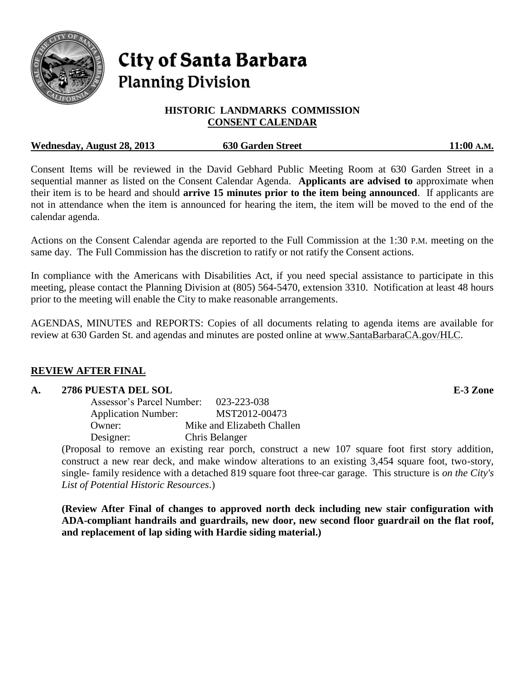

# **City of Santa Barbara Planning Division**

# **HISTORIC LANDMARKS COMMISSION CONSENT CALENDAR**

## **Wednesday, August 28, 2013 630 Garden Street 11:00 A.M.**

Consent Items will be reviewed in the David Gebhard Public Meeting Room at 630 Garden Street in a sequential manner as listed on the Consent Calendar Agenda. **Applicants are advised to** approximate when their item is to be heard and should **arrive 15 minutes prior to the item being announced**. If applicants are not in attendance when the item is announced for hearing the item, the item will be moved to the end of the calendar agenda.

Actions on the Consent Calendar agenda are reported to the Full Commission at the 1:30 P.M. meeting on the same day. The Full Commission has the discretion to ratify or not ratify the Consent actions.

In compliance with the Americans with Disabilities Act, if you need special assistance to participate in this meeting, please contact the Planning Division at (805) 564-5470, extension 3310. Notification at least 48 hours prior to the meeting will enable the City to make reasonable arrangements.

AGENDAS, MINUTES and REPORTS: Copies of all documents relating to agenda items are available for review at 630 Garden St. and agendas and minutes are posted online at [www.SantaBarbaraCA.gov/HLC.](http://www.santabarbaraca.gov/HLC)

# **REVIEW AFTER FINAL**

# **A. 2786 PUESTA DEL SOL E-3 Zone**

| Assessor's Parcel Number:  | 023-223-038                |
|----------------------------|----------------------------|
| <b>Application Number:</b> | MST2012-00473              |
| Owner:                     | Mike and Elizabeth Challen |
| Designer:                  | Chris Belanger             |

(Proposal to remove an existing rear porch, construct a new 107 square foot first story addition, construct a new rear deck, and make window alterations to an existing 3,454 square foot, two-story, single- family residence with a detached 819 square foot three-car garage. This structure is *on the City's List of Potential Historic Resources*.)

**(Review After Final of changes to approved north deck including new stair configuration with ADA-compliant handrails and guardrails, new door, new second floor guardrail on the flat roof, and replacement of lap siding with Hardie siding material.)**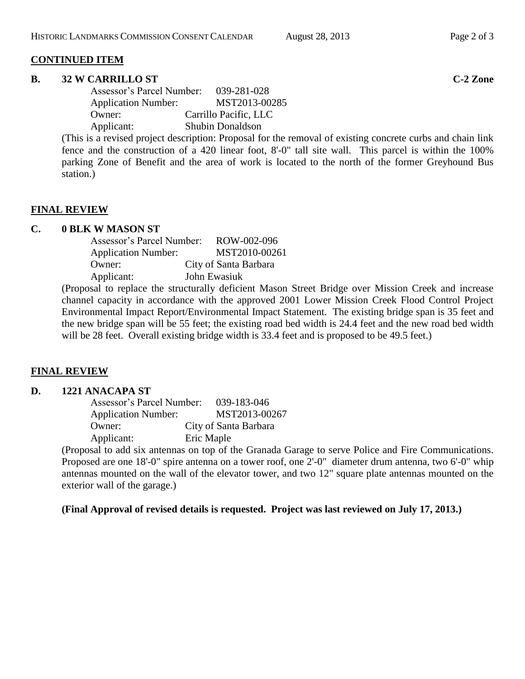## **CONTINUED ITEM**

#### **B. 32 W CARRILLO ST C-2 Zone**

| Assessor's Parcel Number:  | 039-281-028             |
|----------------------------|-------------------------|
| <b>Application Number:</b> | MST2013-00285           |
| Owner:                     | Carrillo Pacific, LLC   |
| Applicant:                 | <b>Shubin Donaldson</b> |

(This is a revised project description: Proposal for the removal of existing concrete curbs and chain link fence and the construction of a 420 linear foot, 8'-0" tall site wall. This parcel is within the 100% parking Zone of Benefit and the area of work is located to the north of the former Greyhound Bus station.)

## **FINAL REVIEW**

#### **C. 0 BLK W MASON ST**

| Assessor's Parcel Number:  | ROW-002-096           |
|----------------------------|-----------------------|
| <b>Application Number:</b> | MST2010-00261         |
| Owner:                     | City of Santa Barbara |
| Applicant:                 | John Ewasiuk          |

(Proposal to replace the structurally deficient Mason Street Bridge over Mission Creek and increase channel capacity in accordance with the approved 2001 Lower Mission Creek Flood Control Project Environmental Impact Report/Environmental Impact Statement. The existing bridge span is 35 feet and the new bridge span will be 55 feet; the existing road bed width is 24.4 feet and the new road bed width will be 28 feet. Overall existing bridge width is 33.4 feet and is proposed to be 49.5 feet.)

## **FINAL REVIEW**

## **D. 1221 ANACAPA ST**

| Assessor's Parcel Number:  | 039-183-046           |
|----------------------------|-----------------------|
| <b>Application Number:</b> | MST2013-00267         |
| Owner:                     | City of Santa Barbara |
| Applicant:                 | Eric Maple            |

(Proposal to add six antennas on top of the Granada Garage to serve Police and Fire Communications. Proposed are one 18'-0" spire antenna on a tower roof, one 2'-0" diameter drum antenna, two 6'-0" whip antennas mounted on the wall of the elevator tower, and two 12" square plate antennas mounted on the exterior wall of the garage.)

**(Final Approval of revised details is requested. Project was last reviewed on July 17, 2013.)**